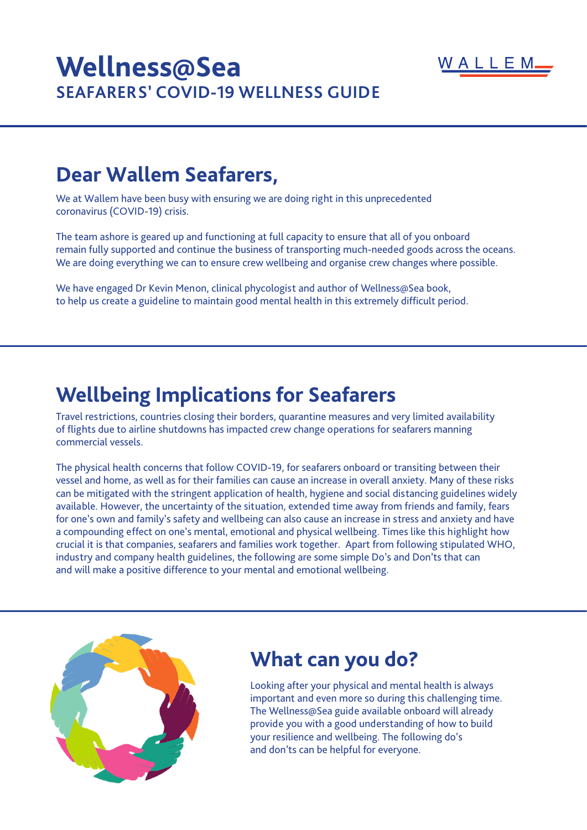

# **Wellness@Sea SEAFARERS' COVID-19 WELLNESS GUIDE**

## **Dear Wallem Seafarers,**

We at Wallem have been busy with ensuring we are doing right in this unprecedented coronavirus (COVID-19) crisis.

The team ashore is geared up and functioning at full capacity to ensure that all of you onboard remain fully supported and continue the business of transporting much-needed goods across the oceans. We are doing everything we can to ensure crew wellbeing and organise crew changes where possible.

We have engaged Dr Kevin Menon, clinical phycologist and author of Wellness@Sea book, to help us create a guideline to maintain good mental health in this extremely difficult period.

## **Wellbeing Implications for Seafarers**

Travel restrictions, countries closing their borders, quarantine measures and very limited availability of flights due to airline shutdowns has impacted crew change operations for seafarers manning commercial vessels.

The physical health concerns that follow COVID-19, for seafarers onboard or transiting between their vessel and home, as well as for their families can cause an increase in overall anxiety. Many of these risks can be mitigated with the stringent application of health, hygiene and social distancing guidelines widely available. However, the uncertainty of the situation, extended time away from friends and family, fears for one's own and family's safety and wellbeing can also cause an increase in stress and anxiety and have a compounding effect on one's mental, emotional and physical wellbeing. Times like this highlight how crucial it is that companies, seafarers and families work together. Apart from following stipulated WHO, industry and company health guidelines, the following are some simple Do's and Don'ts that can and will make a positive difference to your mental and emotional wellbeing.



#### **What can you do?**

Looking after your physical and mental health is always important and even more so during this challenging time. The Wellness@Sea guide available onboard will already provide you with a good understanding of how to build your resilience and wellbeing. The following do's and don'ts can be helpful for everyone.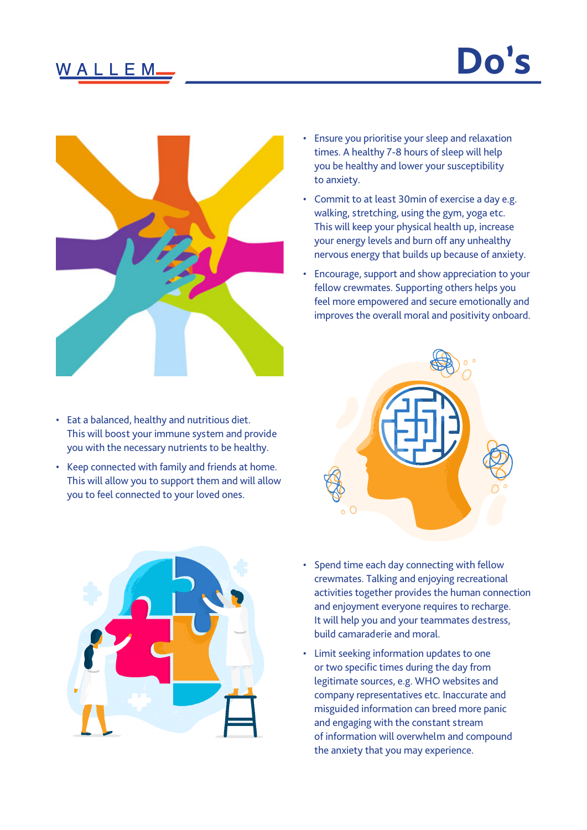## W A L L E M.



- Eat a balanced, healthy and nutritious diet. This will boost your immune system and provide you with the necessary nutrients to be healthy.
- Keep connected with family and friends at home. This will allow you to support them and will allow you to feel connected to your loved ones.



- Commit to at least 30min of exercise a day e.g. walking, stretching, using the gym, yoga etc. This will keep your physical health up, increase your energy levels and burn off any unhealthy nervous energy that builds up because of anxiety.
- Encourage, support and show appreciation to your fellow crewmates. Supporting others helps you feel more empowered and secure emotionally and improves the overall moral and positivity onboard.





- Spend time each day connecting with fellow crewmates. Talking and enjoying recreational activities together provides the human connection and enjoyment everyone requires to recharge. It will help you and your teammates destress, build camaraderie and moral.
- Limit seeking information updates to one or two specific times during the day from legitimate sources, e.g. WHO websites and company representatives etc. Inaccurate and misguided information can breed more panic and engaging with the constant stream of information will overwhelm and compound the anxiety that you may experience.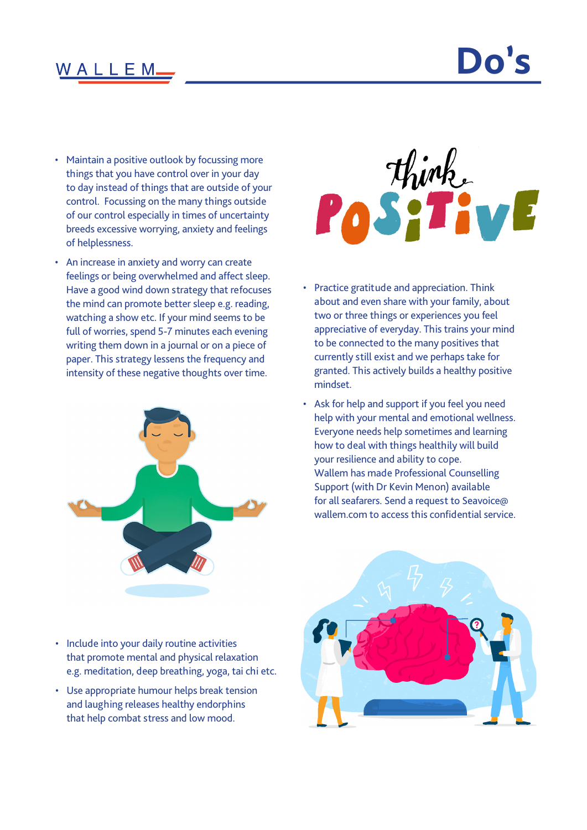#### WALLEM.

# **Do's**

- Maintain a positive outlook by focussing more things that you have control over in your day to day instead of things that are outside of your control. Focussing on the many things outside of our control especially in times of uncertainty breeds excessive worrying, anxiety and feelings of helplessness.
- An increase in anxiety and worry can create feelings or being overwhelmed and affect sleep. Have a good wind down strategy that refocuses the mind can promote better sleep e.g. reading, watching a show etc. If your mind seems to be full of worries, spend 5-7 minutes each evening writing them down in a journal or on a piece of paper. This strategy lessens the frequency and intensity of these negative thoughts over time.





- Practice gratitude and appreciation. Think about and even share with your family, about two or three things or experiences you feel appreciative of everyday. This trains your mind to be connected to the many positives that currently still exist and we perhaps take for granted. This actively builds a healthy positive mindset.
- Ask for help and support if you feel you need help with your mental and emotional wellness. Everyone needs help sometimes and learning how to deal with things healthily will build your resilience and ability to cope. Wallem has made Professional Counselling Support (with Dr Kevin Menon) available for all seafarers. Send a request to Seavoice@ wallem.com to access this confidential service.

- Include into your daily routine activities that promote mental and physical relaxation e.g. meditation, deep breathing, yoga, tai chi etc.
- Use appropriate humour helps break tension and laughing releases healthy endorphins that help combat stress and low mood.